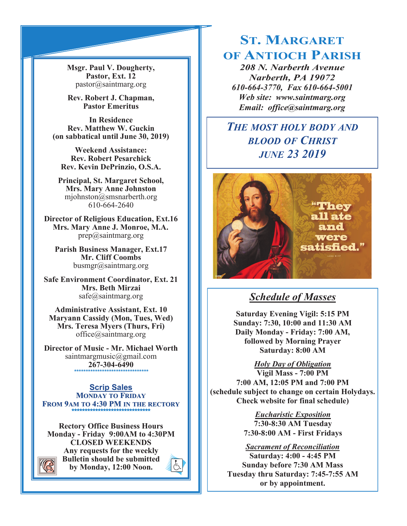**Msgr. Paul V. Dougherty, Pastor, Ext. 12** pastor@saintmarg.org

**Rev. Robert J. Chapman, Pastor Emeritus**

**In Residence Rev. Matthew W. Guckin (on sabbatical until June 30, 2019)**

**Weekend Assistance: Rev. Robert Pesarchick Rev. Kevin DePrinzio, O.S.A.**

**Principal, St. Margaret School, Mrs. Mary Anne Johnston**  mjohnston@smsnarberth.org 610-664-2640

**Director of Religious Education, Ext.16 Mrs. Mary Anne J. Monroe, M.A.** prep@saintmarg.org

**Parish Business Manager, Ext.17 Mr. Cliff Coombs** busmgr@saintmarg.org

**Safe Environment Coordinator, Ext. 21 Mrs. Beth Mirzai** safe@saintmarg.org

**Administrative Assistant, Ext. 10 Maryann Cassidy (Mon, Tues, Wed) Mrs. Teresa Myers (Thurs, Fri)** office@saintmarg.org

**Director of Music - Mr. Michael Worth** saintmargmusic@gmail.com **267-304-6490** *\*\*\*\*\*\*\*\*\*\*\*\*\*\*\*\*\*\*\*\*\*\*\*\*\*\*\*\*\*\*\*\**

**Scrip Sales MONDAY TO FRIDAY FROM 9AM TO 4:30 PM IN THE RECTORY \*\*\*\*\*\*\*\*\*\*\*\*\*\*\*\*\*\*\*\*\*\*\*\*\*\*\*\*\*\*** 

**Rectory Office Business Hours Monday - Friday 9:00AM to 4:30PM CLOSED WEEKENDS Any requests for the weekly Bulletin should be submitted by Monday, 12:00 Noon.** 



# **ST. MARGARET OF ANTIOCH PARISH**

*208 N. Narberth Avenue Narberth, PA 19072 610-664-3770, Fax 610-664-5001 Web site: www.saintmarg.org Email: office@saintmarg.org*

# *THE MOST HOLY BODY AND BLOOD OF CHRIST JUNE 23 2019*



# *Schedule of Masses*

**Saturday Evening Vigil: 5:15 PM Sunday: 7:30, 10:00 and 11:30 AM Daily Monday - Friday: 7:00 AM, followed by Morning Prayer Saturday: 8:00 AM**

*Holy Day of Obligation* **Vigil Mass - 7:00 PM 7:00 AM, 12:05 PM and 7:00 PM (schedule subject to change on certain Holydays. Check website for final schedule)**

> *Eucharistic Exposition*  **7:30-8:30 AM Tuesday 7:30-8:00 AM - First Fridays**

*Sacrament of Reconciliation* **Saturday: 4:00 - 4:45 PM Sunday before 7:30 AM Mass Tuesday thru Saturday: 7:45-7:55 AM or by appointment.**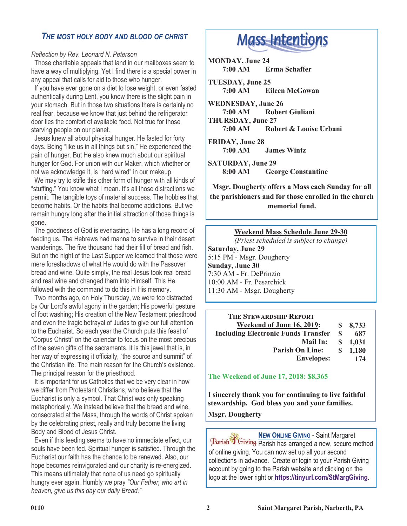# *THE MOST HOLY BODY AND BLOOD OF CHRIST*

#### *Reflection by Rev. Leonard N. Peterson*

 Those charitable appeals that land in our mailboxes seem to have a way of multiplying. Yet I find there is a special power in any appeal that calls for aid to those who hunger.

 If you have ever gone on a diet to lose weight, or even fasted authentically during Lent, you know there is the slight pain in your stomach. But in those two situations there is certainly no real fear, because we know that just behind the refrigerator door lies the comfort of available food. Not true for those starving people on our planet.

 Jesus knew all about physical hunger. He fasted for forty days. Being "like us in all things but sin," He experienced the pain of hunger. But He also knew much about our spiritual hunger for God. For union with our Maker, which whether or not we acknowledge it, is "hard wired" in our makeup.

 We may try to stifle this other form of hunger with all kinds of "stuffing." You know what I mean. It's all those distractions we permit. The tangible toys of material success. The hobbies that become habits. Or the habits that become addictions. But we remain hungry long after the initial attraction of those things is gone.

 The goodness of God is everlasting. He has a long record of feeding us. The Hebrews had manna to survive in their desert wanderings. The five thousand had their fill of bread and fish. But on the night of the Last Supper we learned that those were mere foreshadows of what He would do with the Passover bread and wine. Quite simply, the real Jesus took real bread and real wine and changed them into Himself. This He followed with the command to do this in His memory.

 Two months ago, on Holy Thursday, we were too distracted by Our Lord's awful agony in the garden; His powerful gesture of foot washing; His creation of the New Testament priesthood and even the tragic betrayal of Judas to give our full attention to the Eucharist. So each year the Church puts this feast of "Corpus Christi" on the calendar to focus on the most precious of the seven gifts of the sacraments. It is this jewel that is, in her way of expressing it officially, "the source and summit" of the Christian life. The main reason for the Church's existence. The principal reason for the priesthood.

 It is important for us Catholics that we be very clear in how we differ from Protestant Christians, who believe that the Eucharist is only a symbol. That Christ was only speaking metaphorically. We instead believe that the bread and wine, consecrated at the Mass, through the words of Christ spoken by the celebrating priest, really and truly become the living Body and Blood of Jesus Christ.

 Even if this feeding seems to have no immediate effect, our souls have been fed. Spiritual hunger is satisfied. Through the Eucharist our faith has the chance to be renewed. Also, our hope becomes reinvigorated and our charity is re-energized. This means ultimately that none of us need go spiritually hungry ever again. Humbly we pray *"Our Father, who art in heaven, give us this day our daily Bread."*

# **Mass Intentions**

**MONDAY, June 24 7:00 AM Erma Schaffer** 

**TUESDAY, June 25 7:00 AM Eileen McGowan**

**WEDNESDAY, June 26 7:00 AM Robert Giuliani THURSDAY, June 27**

**7:00 AM Robert & Louise Urbani**

**FRIDAY, June 28 7:00 AM James Wintz**

**SATURDAY, June 29 8:00 AM George Constantine**

**Msgr. Dougherty offers a Mass each Sunday for all the parishioners and for those enrolled in the church memorial fund.**

# **Weekend Mass Schedule June 29-30**

*(Priest scheduled is subject to change)* **Saturday, June 29** 5:15 PM - Msgr. Dougherty **Sunday, June 30** 7:30 AM - Fr. DePrinzio 10:00 AM - Fr. Pesarchick 11:30 AM - Msgr. Dougherty

| <b>THE STEWARDSHIP REPORT</b>              |              |         |
|--------------------------------------------|--------------|---------|
| Weekend of June 16, 2019:                  | S.           | 8,733   |
| <b>Including Electronic Funds Transfer</b> | \$.          | 687     |
| Mail In:                                   |              | \$1,031 |
| <b>Parish On Line:</b>                     | <sup>S</sup> | 1,180   |
| <b>Envelopes:</b>                          |              | 174     |

**The Weekend of June 17, 2018: \$8,365**

**I sincerely thank you for continuing to live faithful stewardship. God bless you and your families. Msgr. Dougherty**

**NEW ONLINE GIVING** - Saint Margaret Parish TGiving Parish has arranged a new, secure method of online giving. You can now set up all your second collections in advance. Create or login to your Parish Giving account by going to the Parish website and clicking on the logo at the lower right or **<https://tinyurl.com/StMargGiving>**.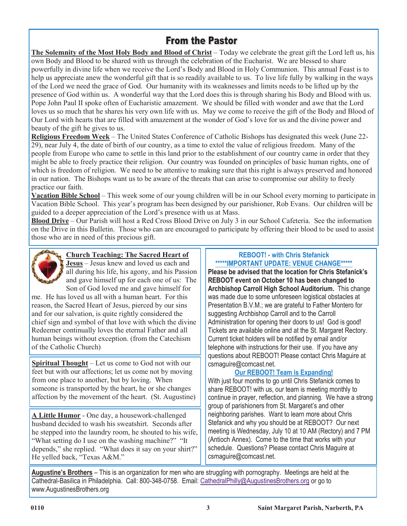# **From the Pastor**

**The Solemnity of the Most Holy Body and Blood of Christ** – Today we celebrate the great gift the Lord left us, his own Body and Blood to be shared with us through the celebration of the Eucharist. We are blessed to share powerfully in divine life when we receive the Lord's Body and Blood in Holy Communion. This annual Feast is to help us appreciate anew the wonderful gift that is so readily available to us. To live life fully by walking in the ways of the Lord we need the grace of God. Our humanity with its weaknesses and limits needs to be lifted up by the presence of God within us. A wonderful way that the Lord does this is through sharing his Body and Blood with us. Pope John Paul II spoke often of Eucharistic amazement. We should be filled with wonder and awe that the Lord loves us so much that he shares his very own life with us. May we come to receive the gift of the Body and Blood of Our Lord with hearts that are filled with amazement at the wonder of God's love for us and the divine power and beauty of the gift he gives to us.

**Religious Freedom Week** – The United States Conference of Catholic Bishops has designated this week (June 22- 29), near July 4, the date of birth of our country, as a time to extol the value of religious freedom. Many of the people from Europe who came to settle in this land prior to the establishment of our country came in order that they might be able to freely practice their religion. Our country was founded on principles of basic human rights, one of which is freedom of religion. We need to be attentive to making sure that this right is always preserved and honored in our nation. The Bishops want us to be aware of the threats that can arise to compromise our ability to freely practice our faith

**Vacation Bible School** – This week some of our young children will be in our School every morning to participate in Vacation Bible School. This year's program has been designed by our parishioner, Rob Evans. Our children will be guided to a deeper appreciation of the Lord's presence with us at Mass.

**Blood Drive** – Our Parish will host a Red Cross Blood Drive on July 3 in our School Cafeteria. See the information on the Drive in this Bulletin. Those who can are encouraged to participate by offering their blood to be used to assist those who are in need of this precious gift.



# **Church Teaching: The Sacred Heart of**

**Jesus** – Jesus knew and loved us each and all during his life, his agony, and his Passion and gave himself up for each one of us: The Son of God loved me and gave himself for

me. He has loved us all with a human heart. For this reason, the Sacred Heart of Jesus, pierced by our sins and for our salvation, is quite rightly considered the chief sign and symbol of that love with which the divine Redeemer continually loves the eternal Father and all human beings without exception. (from the Catechism of the Catholic Church)

**Spiritual Thought** – Let us come to God not with our feet but with our affections; let us come not by moving from one place to another, but by loving. When someone is transported by the heart, he or she changes affection by the movement of the heart. (St. Augustine)

**A Little Humor** - One day, a housework-challenged husband decided to wash his sweatshirt. Seconds after he stepped into the laundry room, he shouted to his wife, "What setting do I use on the washing machine?" "It depends," she replied. "What does it say on your shirt?" He yelled back, "Texas A&M."

## **REBOOT! - with Chris Stefanick \*\*\*\*\*IMPORTANT UPDATE: VENUE CHANGE\*\*\*\*\***

**Please be advised that the location for Chris Stefanick's REBOOT event on October 10 has been changed to Archbishop Carroll High School Auditorium.** This change was made due to some unforeseen logistical obstacles at Presentation B.V.M.; we are grateful to Father Montero for suggesting Archbishop Carroll and to the Carroll Administration for opening their doors to us! God is good! Tickets are available online and at the St. Margaret Rectory. Current ticket holders will be notified by email and/or telephone with instructions for their use. If you have any questions about REBOOT! Please contact Chris Maguire at csmaguire@comcast.net.

# **Our REBOOT! Team is Expanding!**

With just four months to go until Chris Stefanick comes to share REBOOT! with us, our team is meeting monthly to continue in prayer, reflection, and planning. We have a strong group of parishioners from St. Margaret's and other neighboring parishes. Want to learn more about Chris Stefanick and why you should be at REBOOT? Our next meeting is Wednesday, July 10 at 10 AM (Rectory) and 7 PM (Antioch Annex). Come to the time that works with your schedule. Questions? Please contact Chris Maguire at csmaguire@comcast.net.

**Augustine's Brothers** – This is an organization for men who are struggling with pornography. Meetings are held at the Cathedral-Basilica in Philadelphia. Call: 800-348-0758. Email: [CathedralPhilly@AugustinesBrothers.org](mailto:CathedralPhilly@AugustinesBrothers.org) or go to www.AugustinesBrothers.org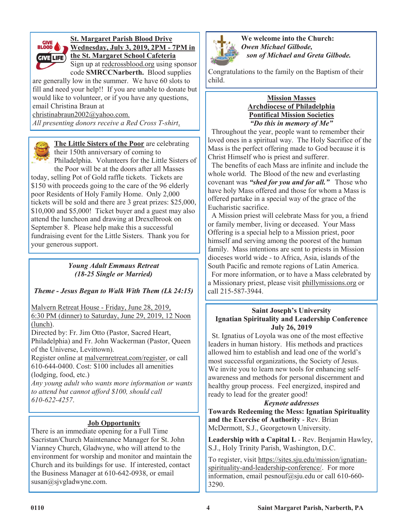

# **St. Margaret Parish Blood Drive Wednesday, July 3, 2019, 2PM - 7PM in the St. Margaret School Cafeteria**

Sign up at redcrossblood.org using sponsor code **SMRCCNarberth.** Blood supplies

are generally low in the summer. We have 60 slots to fill and need your help!! If you are unable to donate but would like to volunteer, or if you have any questions, email Christina Braun at

christinabraun2002@yahoo.com.

*All presenting donors receive a Red Cross T-shirt*.



**The Little Sisters of the Poor** are celebrating their 150th anniversary of coming to Philadelphia. Volunteers for the Little Sisters of

the Poor will be at the doors after all Masses today, selling Pot of Gold raffle tickets. Tickets are \$150 with proceeds going to the care of the 96 elderly poor Residents of Holy Family Home. Only 2,000 tickets will be sold and there are 3 great prizes: \$25,000, \$10,000 and \$5,000! Ticket buyer and a guest may also attend the luncheon and drawing at Drexelbrook on September 8. Please help make this a successful fundraising event for the Little Sisters. Thank you for your generous support.

# *Young Adult Emmaus Retreat (18-25 Single or Married)*

# *Theme - Jesus Began to Walk With Them (Lk 24:15)*

Malvern Retreat House - Friday, June 28, 2019,

6:30 PM (dinner) to Saturday, June 29, 2019, 12 Noon (lunch).

Directed by: Fr. Jim Otto (Pastor, Sacred Heart, Philadelphia) and Fr. John Wackerman (Pastor, Queen of the Universe, Levittown).

Register online at malvernretreat.com/register, or call 610-644-0400. Cost: \$100 includes all amenities (lodging, food, etc.)

*Any young adult who wants more information or wants to attend but cannot afford \$100, should call 610-622-4257*.

# **Job Opportunity**

There is an immediate opening for a Full Time Sacristan/Church Maintenance Manager for St. John Vianney Church, Gladwyne, who will attend to the environment for worship and monitor and maintain the Church and its buildings for use. If interested, contact the Business Manager at 610-642-0938, or email susan@sjvgladwyne.com.



**We welcome into the Church:** *Owen Michael Gilbode, son of Michael and Greta Gilbode.* 

Congratulations to the family on the Baptism of their child.

#### **Mission Masses Archdiocese of Philadelphia Pontifical Mission Societies** *"Do this in memory of Me"*

 Throughout the year, people want to remember their loved ones in a spiritual way. The Holy Sacrifice of the Mass is the perfect offering made to God because it is Christ Himself who is priest and sufferer.

 The benefits of each Mass are infinite and include the whole world. The Blood of the new and everlasting covenant was *"shed for you and for all."* Those who have holy Mass offered and those for whom a Mass is offered partake in a special way of the grace of the Eucharistic sacrifice.

 A Mission priest will celebrate Mass for you, a friend or family member, living or deceased. Your Mass Offering is a special help to a Mission priest, poor himself and serving among the poorest of the human family. Mass intentions are sent to priests in Mission dioceses world wide - to Africa, Asia, islands of the South Pacific and remote regions of Latin America. For more information, or to have a Mass celebrated by a Missionary priest, please visit phillymissions.org or call 215-587-3944.

#### **Saint Joseph's University Ignatian Spirituality and Leadership Conference July 26, 2019**

 St. Ignatius of Loyola was one of the most effective leaders in human history. His methods and practices allowed him to establish and lead one of the world's most successful organizations, the Society of Jesus. We invite you to learn new tools for enhancing selfawareness and methods for personal discernment and healthy group process. Feel energized, inspired and ready to lead for the greater good!

# *Keynote addresses*

**Towards Redeeming the Mess: Ignatian Spirituality and the Exercise of Authority** - Rev. Brian McDermott, S.J., Georgetown University.

**Leadership with a Capital L** - Rev. Benjamin Hawley, S.J., Holy Trinity Parish, Washington, D.C.

To register, visit https://sites.sju.edu/mission/ignatianspirituality-and-leadership-conference/. For more information, email pesnouf@sju.edu or call 610-660- 3290.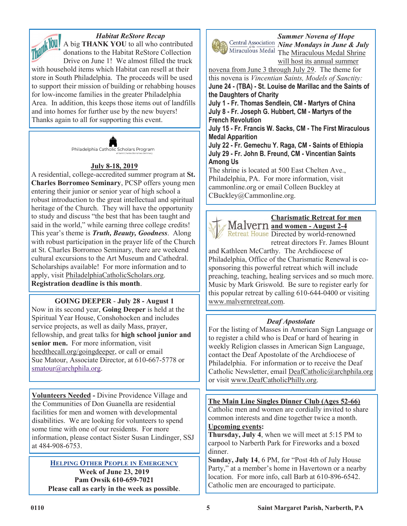

*Habitat ReStore Recap* A big **THANK YOU** to all who contributed

donations to the Habitat ReStore Collection Drive on June 1! We almost filled the truck with household items which Habitat can resell at their store in South Philadelphia. The proceeds will be used to support their mission of building or rehabbing houses for low-income families in the greater Philadelphia Area. In addition, this keeps those items out of landfills and into homes for further use by the new buyers! Thanks again to all for supporting this event.



# **July 8-18, 2019**

A residential, college-accredited summer program at **St. Charles Borromeo Seminary**, PCSP offers young men entering their junior or senior year of high school a robust introduction to the great intellectual and spiritual heritage of the Church. They will have the opportunity to study and discuss "the best that has been taught and said in the world," while earning three college credits! This year's theme is *Truth, Beauty, Goodness*. Along with robust participation in the prayer life of the Church at St. Charles Borromeo Seminary, there are weekend cultural excursions to the Art Museum and Cathedral. Scholarships available! For more information and to apply, visit PhiladelphiaCatholicScholars.org. **Registration deadline is this month**.

**GOING DEEPER** - **July 28 - August 1** Now in its second year, **Going Deeper** is held at the Spiritual Year House, Conshohocken and includes service projects, as well as daily Mass, prayer, fellowship, and great talks for **high school junior and senior men.** For more information, visit heedthecall.org/goingdeeper, or call or email Sue Matour, Associate Director, at 610-667-5778 or [smatour@archphila.org.](mailto:smatour@archphila.org)

**Volunteers Needed -** Divine Providence Village and the Communities of Don Guanella are residential facilities for men and women with developmental disabilities. We are looking for volunteers to spend some time with one of our residents. For more information, please contact Sister Susan Lindinger, SSJ at 484-908-6753.

**HELPING OTHER PEOPLE IN EMERGENCY Week of June 23, 2019 Pam Owsik 610-659-7021 Please call as early in the week as possible**.



*Summer Novena of Hope Nine Mondays in June & July* Miraculous Medal The Miraculous Medal Shrine will host its annual summer

novena from June 3 through July 29. The theme for this novena is *Vincentian Saints, Models of Sanctity:*

**June 24 - (TBA) - St. Louise de Marillac and the Saints of the Daughters of Charity**

**July 1 - Fr. Thomas Sendlein, CM - Martyrs of China July 8 - Fr. Joseph G. Hubbert, CM - Martyrs of the French Revolution**

**July 15 - Fr. Francis W. Sacks, CM - The First Miraculous Medal Apparition**

**July 22 - Fr. Gemechu Y. Raga, CM - Saints of Ethiopia July 29 - Fr. John B. Freund, CM - Vincentian Saints Among Us**

The shrine is located at 500 East Chelten Ave., Philadelphia, PA. For more information, visit cammonline.org or email Colleen Buckley at CBuckley@Cammonline.org.



**Charismatic Retreat for men and women - August 2-4**

Retreat House Directed by world-renowned retreat directors Fr. James Blount

and Kathleen McCarthy. The Archdiocese of Philadelphia, Office of the Charismatic Renewal is cosponsoring this powerful retreat which will include preaching, teaching, healing services and so much more. Music by Mark Griswold. Be sure to register early for this popular retreat by calling 610-644-0400 or visiting www.malvernretreat.com.

# *Deaf Apostolate*

For the listing of Masses in American Sign Language or to register a child who is Deaf or hard of hearing in weekly Religion classes in American Sign Language, contact the Deaf Apostolate of the Archdiocese of Philadelphia. For information or to receive the Deaf Catholic Newsletter, email DeafCatholic@archphila.org or visit www.DeafCatholicPhilly.org.

**The Main Line Singles Dinner Club (Ages 52-66)**

Catholic men and women are cordially invited to share common interests and dine together twice a month. **Upcoming events:**

**Thursday, July 4**, when we will meet at 5:15 PM to carpool to Narberth Park for Fireworks and a boxed dinner.

**Sunday, July 14**, 6 PM, for "Post 4th of July House Party," at a member's home in Havertown or a nearby location. For more info, call Barb at 610-896-6542. Catholic men are encouraged to participate.